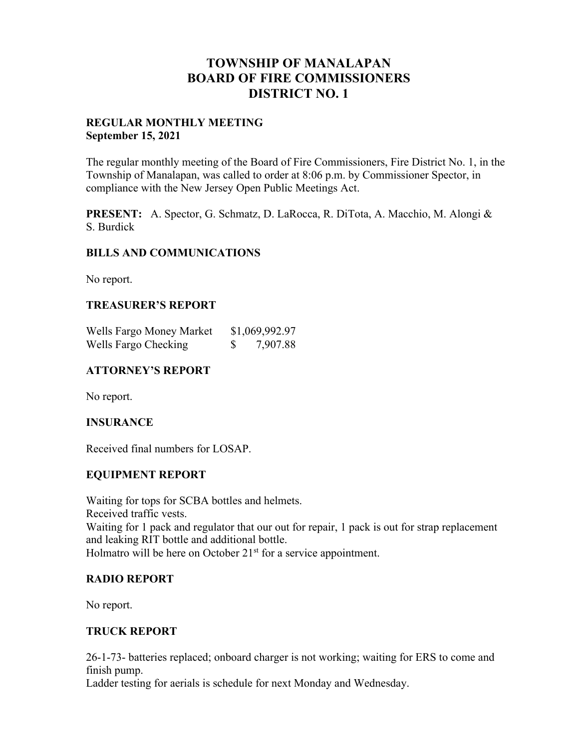# **TOWNSHIP OF MANALAPAN BOARD OF FIRE COMMISSIONERS DISTRICT NO. 1**

## **REGULAR MONTHLY MEETING September 15, 2021**

The regular monthly meeting of the Board of Fire Commissioners, Fire District No. 1, in the Township of Manalapan, was called to order at 8:06 p.m. by Commissioner Spector, in compliance with the New Jersey Open Public Meetings Act.

**PRESENT:** A. Spector, G. Schmatz, D. LaRocca, R. DiTota, A. Macchio, M. Alongi & S. Burdick

## **BILLS AND COMMUNICATIONS**

No report.

## **TREASURER'S REPORT**

| Wells Fargo Money Market | \$1,069,992.97 |
|--------------------------|----------------|
| Wells Fargo Checking     | 7,907.88       |

# **ATTORNEY'S REPORT**

No report.

## **INSURANCE**

Received final numbers for LOSAP.

## **EQUIPMENT REPORT**

Waiting for tops for SCBA bottles and helmets. Received traffic vests. Waiting for 1 pack and regulator that our out for repair, 1 pack is out for strap replacement and leaking RIT bottle and additional bottle. Holmatro will be here on October 21<sup>st</sup> for a service appointment.

## **RADIO REPORT**

No report.

# **TRUCK REPORT**

26-1-73- batteries replaced; onboard charger is not working; waiting for ERS to come and finish pump.

Ladder testing for aerials is schedule for next Monday and Wednesday.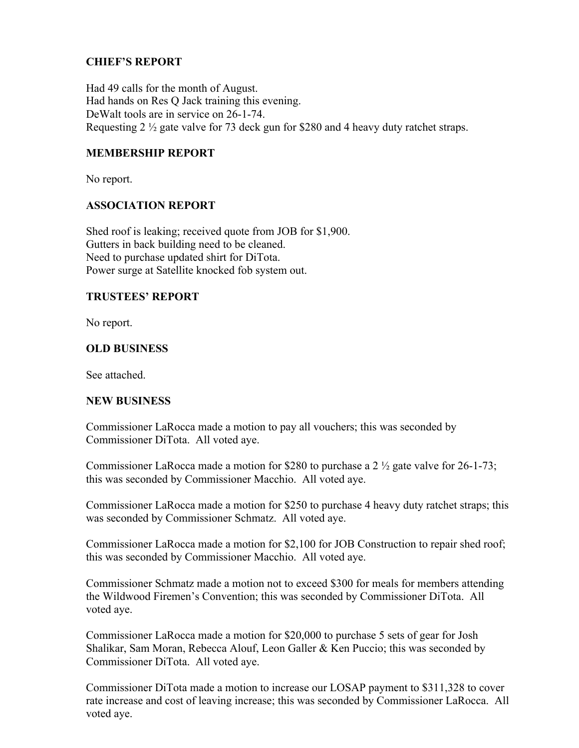# **CHIEF'S REPORT**

Had 49 calls for the month of August. Had hands on Res Q Jack training this evening. DeWalt tools are in service on 26-1-74. Requesting 2 ½ gate valve for 73 deck gun for \$280 and 4 heavy duty ratchet straps.

# **MEMBERSHIP REPORT**

No report.

# **ASSOCIATION REPORT**

Shed roof is leaking; received quote from JOB for \$1,900. Gutters in back building need to be cleaned. Need to purchase updated shirt for DiTota. Power surge at Satellite knocked fob system out.

## **TRUSTEES' REPORT**

No report.

## **OLD BUSINESS**

See attached.

## **NEW BUSINESS**

Commissioner LaRocca made a motion to pay all vouchers; this was seconded by Commissioner DiTota. All voted aye.

Commissioner LaRocca made a motion for \$280 to purchase a 2 ½ gate valve for 26-1-73; this was seconded by Commissioner Macchio. All voted aye.

Commissioner LaRocca made a motion for \$250 to purchase 4 heavy duty ratchet straps; this was seconded by Commissioner Schmatz. All voted aye.

Commissioner LaRocca made a motion for \$2,100 for JOB Construction to repair shed roof; this was seconded by Commissioner Macchio. All voted aye.

Commissioner Schmatz made a motion not to exceed \$300 for meals for members attending the Wildwood Firemen's Convention; this was seconded by Commissioner DiTota. All voted aye.

Commissioner LaRocca made a motion for \$20,000 to purchase 5 sets of gear for Josh Shalikar, Sam Moran, Rebecca Alouf, Leon Galler & Ken Puccio; this was seconded by Commissioner DiTota. All voted aye.

Commissioner DiTota made a motion to increase our LOSAP payment to \$311,328 to cover rate increase and cost of leaving increase; this was seconded by Commissioner LaRocca. All voted aye.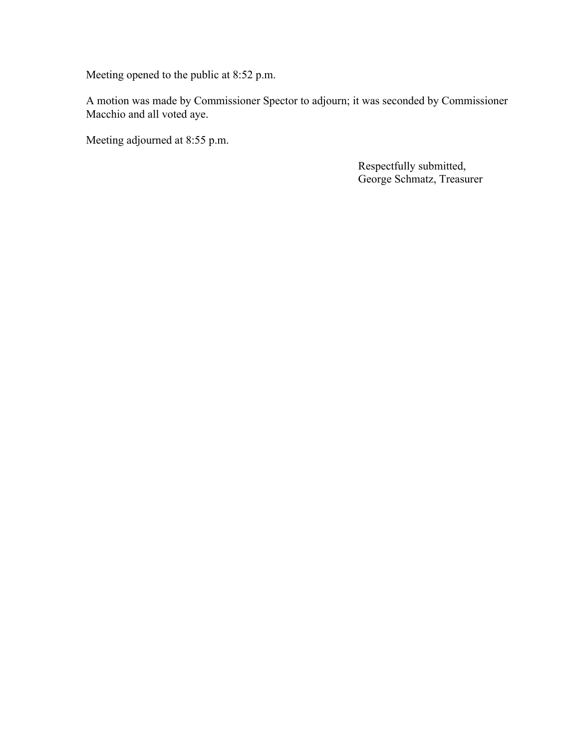Meeting opened to the public at 8:52 p.m.

A motion was made by Commissioner Spector to adjourn; it was seconded by Commissioner Macchio and all voted aye.

Meeting adjourned at 8:55 p.m.

 Respectfully submitted, George Schmatz, Treasurer